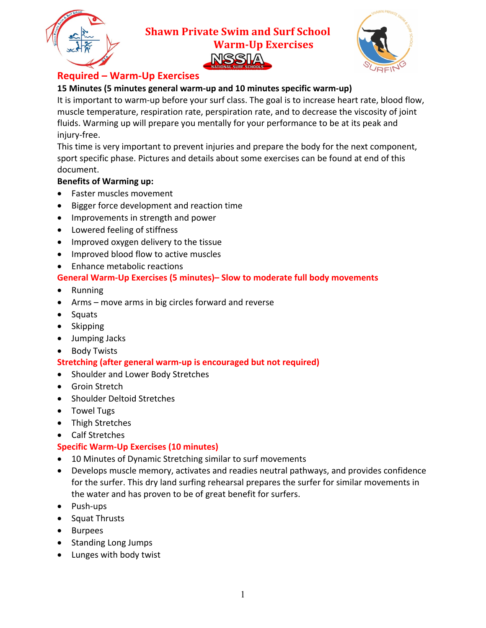

**Shawn Private Swim and Surf School Warm-Up Exercises** 



# **Required – Warm-Up Exercises**

## **15 Minutes (5 minutes general warm-up and 10 minutes specific warm-up)**

It is important to warm-up before your surf class. The goal is to increase heart rate, blood flow, muscle temperature, respiration rate, perspiration rate, and to decrease the viscosity of joint fluids. Warming up will prepare you mentally for your performance to be at its peak and injury-free.

This time is very important to prevent injuries and prepare the body for the next component, sport specific phase. Pictures and details about some exercises can be found at end of this document.

## **Benefits of Warming up:**

- Faster muscles movement
- Bigger force development and reaction time
- Improvements in strength and power
- Lowered feeling of stiffness
- Improved oxygen delivery to the tissue
- Improved blood flow to active muscles
- Enhance metabolic reactions

## **General Warm-Up Exercises (5 minutes)– Slow to moderate full body movements**

- Running
- Arms move arms in big circles forward and reverse
- Squats
- Skipping
- Jumping Jacks
- Body Twists

## **Stretching (after general warm-up is encouraged but not required)**

- Shoulder and Lower Body Stretches
- Groin Stretch
- Shoulder Deltoid Stretches
- Towel Tugs
- Thigh Stretches
- Calf Stretches

#### **Specific Warm-Up Exercises (10 minutes)**

- 10 Minutes of Dynamic Stretching similar to surf movements
- Develops muscle memory, activates and readies neutral pathways, and provides confidence for the surfer. This dry land surfing rehearsal prepares the surfer for similar movements in the water and has proven to be of great benefit for surfers.
- Push-ups
- Squat Thrusts
- Burpees
- Standing Long Jumps
- Lunges with body twist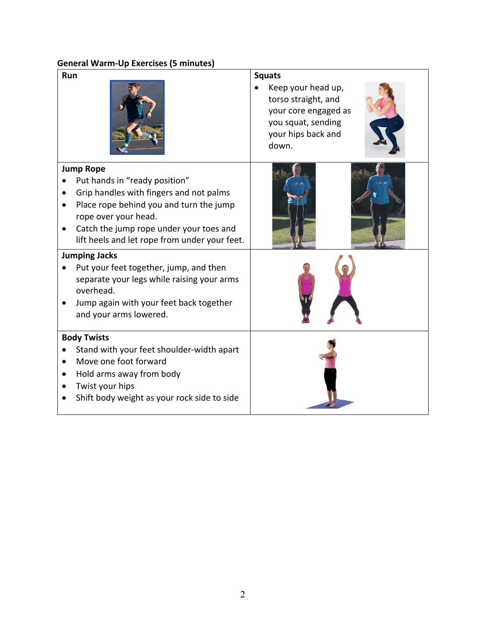#### **General Warm-Up Exercises (5 minutes)**

| <b>Run</b>                                                                                                                                                                                                                                                  | <b>Squats</b><br>Keep your head up,<br>torso straight, and<br>your core engaged as<br>you squat, sending<br>your hips back and<br>down. |
|-------------------------------------------------------------------------------------------------------------------------------------------------------------------------------------------------------------------------------------------------------------|-----------------------------------------------------------------------------------------------------------------------------------------|
| <b>Jump Rope</b><br>Put hands in "ready position"<br>Grip handles with fingers and not palms<br>Place rope behind you and turn the jump<br>rope over your head.<br>Catch the jump rope under your toes and<br>lift heels and let rope from under your feet. |                                                                                                                                         |
| <b>Jumping Jacks</b><br>Put your feet together, jump, and then<br>separate your legs while raising your arms<br>overhead.<br>Jump again with your feet back together<br>and your arms lowered.                                                              |                                                                                                                                         |
| <b>Body Twists</b><br>Stand with your feet shoulder-width apart<br>Move one foot forward<br>Hold arms away from body<br>Twist your hips<br>Shift body weight as your rock side to side                                                                      |                                                                                                                                         |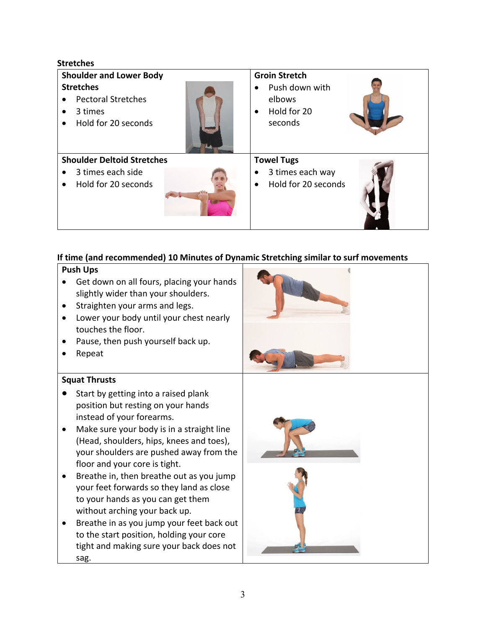| <b>Shoulder and Lower Body</b>                                                  | <b>Groin Stretch</b>                                                         |
|---------------------------------------------------------------------------------|------------------------------------------------------------------------------|
| <b>Stretches</b><br><b>Pectoral Stretches</b><br>3 times<br>Hold for 20 seconds | Push down with<br>$\bullet$<br>elbows<br>Hold for 20<br>$\bullet$<br>seconds |
| <b>Shoulder Deltoid Stretches</b>                                               | <b>Towel Tugs</b>                                                            |
| 3 times each side<br>٠<br>Hold for 20 seconds                                   | 3 times each way<br>$\bullet$<br>Hold for 20 seconds<br>$\bullet$            |

## **If time (and recommended) 10 Minutes of Dynamic Stretching similar to surf movements**

#### **Push Ups**

**Stretches**

- Get down on all fours, placing your hands slightly wider than your shoulders.
- Straighten your arms and legs.
- Lower your body until your chest nearly touches the floor.
- Pause, then push yourself back up.
- Repeat

#### **Squat Thrusts**

- Start by getting into a raised plank position but resting on your hands instead of your forearms.
- Make sure your body is in a straight line (Head, shoulders, hips, knees and toes), your shoulders are pushed away from the floor and your core is tight.
- Breathe in, then breathe out as you jump your feet forwards so they land as close to your hands as you can get them without arching your back up.
- Breathe in as you jump your feet back out to the start position, holding your core tight and making sure your back does not sag.